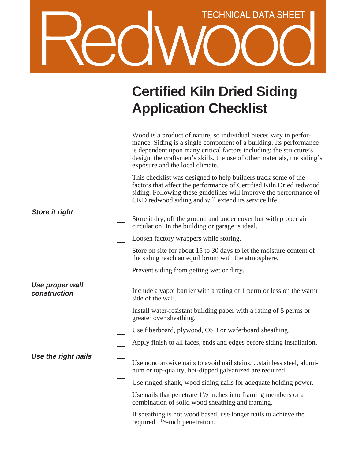## TECHNICAL DATA SHEET

|                                 | <b>Certified Kiln Dried Siding</b><br><b>Application Checklist</b>                                                                                                                                                                                                                                                           |
|---------------------------------|------------------------------------------------------------------------------------------------------------------------------------------------------------------------------------------------------------------------------------------------------------------------------------------------------------------------------|
|                                 | Wood is a product of nature, so individual pieces vary in perfor-<br>mance. Siding is a single component of a building. Its performance<br>is dependent upon many critical factors including: the structure's<br>design, the craftsmen's skills, the use of other materials, the siding's<br>exposure and the local climate. |
|                                 | This checklist was designed to help builders track some of the<br>factors that affect the performance of Certified Kiln Dried redwood<br>siding. Following these guidelines will improve the performance of<br>CKD redwood siding and will extend its service life.                                                          |
| <b>Store it right</b>           | Store it dry, off the ground and under cover but with proper air<br>circulation. In the building or garage is ideal.                                                                                                                                                                                                         |
|                                 | Loosen factory wrappers while storing.                                                                                                                                                                                                                                                                                       |
|                                 | Store on site for about 15 to 30 days to let the moisture content of<br>the siding reach an equilibrium with the atmosphere.                                                                                                                                                                                                 |
|                                 | Prevent siding from getting wet or dirty.                                                                                                                                                                                                                                                                                    |
| Use proper wall<br>construction | Include a vapor barrier with a rating of 1 perm or less on the warm<br>side of the wall.                                                                                                                                                                                                                                     |
|                                 | Install water-resistant building paper with a rating of 5 perms or<br>greater over sheathing.                                                                                                                                                                                                                                |
|                                 | Use fiberboard, plywood, OSB or waferboard sheathing.                                                                                                                                                                                                                                                                        |
|                                 | Apply finish to all faces, ends and edges before siding installation.                                                                                                                                                                                                                                                        |
| Use the right nails             | Use noncorrosive nails to avoid nail stains. stainless steel, alumi-<br>num or top-quality, hot-dipped galvanized are required.                                                                                                                                                                                              |
|                                 | Use ringed-shank, wood siding nails for adequate holding power.                                                                                                                                                                                                                                                              |
|                                 | Use nails that penetrate $1\frac{1}{2}$ inches into framing members or a<br>combination of solid wood sheathing and framing.                                                                                                                                                                                                 |
|                                 | If sheathing is not wood based, use longer nails to achieve the<br>required $1\frac{1}{2}$ -inch penetration.                                                                                                                                                                                                                |